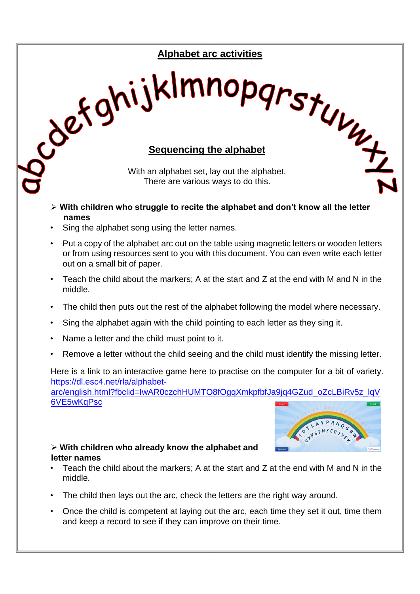# **Alphabet arc activities**

# Sex ghijkImnopgrstuur

With an alphabet set, lay out the alphabet. There are various ways to do this.

- **With children who struggle to recite the alphabet and don't know all the letter names**
- Sing the alphabet song using the letter names.
- Put a copy of the alphabet arc out on the table using magnetic letters or wooden letters or from using resources sent to you with this document. You can even write each letter out on a small bit of paper.
- Teach the child about the markers; A at the start and Z at the end with M and N in the middle.
- The child then puts out the rest of the alphabet following the model where necessary.
- Sing the alphabet again with the child pointing to each letter as they sing it.
- Name a letter and the child must point to it.
- Remove a letter without the child seeing and the child must identify the missing letter.

Here is a link to an interactive game here to practise on the computer for a bit of variety. [https://dl.esc4.net/rla/alphabet-](https://dl.esc4.net/rla/alphabet-arc/english.html?fbclid=IwAR0czchHUMTO8fOgqXmkpfbfJa9jq4GZud_oZcLBiRv5z_lqV6VE5wKqPsc)

[arc/english.html?fbclid=IwAR0czchHUMTO8fOgqXmkpfbfJa9jq4GZud\\_oZcLBiRv5z\\_lqV](https://dl.esc4.net/rla/alphabet-arc/english.html?fbclid=IwAR0czchHUMTO8fOgqXmkpfbfJa9jq4GZud_oZcLBiRv5z_lqV6VE5wKqPsc) [6VE5wKqPsc](https://dl.esc4.net/rla/alphabet-arc/english.html?fbclid=IwAR0czchHUMTO8fOgqXmkpfbfJa9jq4GZud_oZcLBiRv5z_lqV6VE5wKqPsc)



### **With children who already know the alphabet and letter names**

- Teach the child about the markers: A at the start and  $Z$  at the end with M and N in the middle.
- The child then lays out the arc, check the letters are the right way around.
- Once the child is competent at laying out the arc, each time they set it out, time them and keep a record to see if they can improve on their time.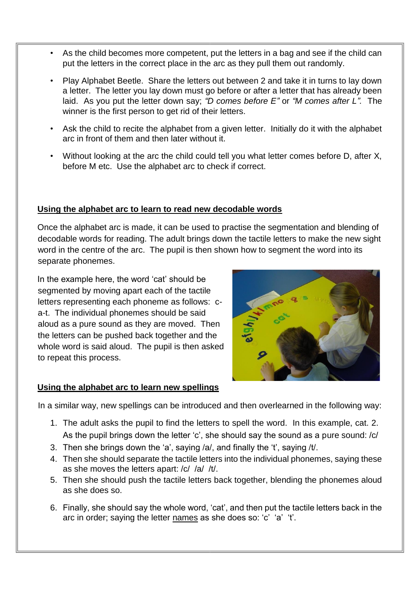- As the child becomes more competent, put the letters in a bag and see if the child can put the letters in the correct place in the arc as they pull them out randomly.
- Play Alphabet Beetle. Share the letters out between 2 and take it in turns to lay down a letter. The letter you lay down must go before or after a letter that has already been laid. As you put the letter down say; *"D comes before E"* or *"M comes after L".* The winner is the first person to get rid of their letters.
- Ask the child to recite the alphabet from a given letter. Initially do it with the alphabet arc in front of them and then later without it.
- Without looking at the arc the child could tell you what letter comes before D, after X, before M etc. Use the alphabet arc to check if correct.

# **Using the alphabet arc to learn to read new decodable words**

Once the alphabet arc is made, it can be used to practise the segmentation and blending of decodable words for reading. The adult brings down the tactile letters to make the new sight word in the centre of the arc. The pupil is then shown how to segment the word into its separate phonemes.

In the example here, the word 'cat' should be segmented by moving apart each of the tactile letters representing each phoneme as follows: ca-t. The individual phonemes should be said aloud as a pure sound as they are moved. Then the letters can be pushed back together and the whole word is said aloud. The pupil is then asked to repeat this process.



### **Using the alphabet arc to learn new spellings**

In a similar way, new spellings can be introduced and then overlearned in the following way:

- 1. The adult asks the pupil to find the letters to spell the word. In this example, cat. 2. As the pupil brings down the letter 'c', she should say the sound as a pure sound: /c/
- 3. Then she brings down the 'a', saying /a/, and finally the 't', saying /t/.
- 4. Then she should separate the tactile letters into the individual phonemes, saying these as she moves the letters apart: /c/ /a/ /t/.
- 5. Then she should push the tactile letters back together, blending the phonemes aloud as she does so.
- 6. Finally, she should say the whole word, 'cat', and then put the tactile letters back in the arc in order; saying the letter names as she does so: 'c' 'a' 't'.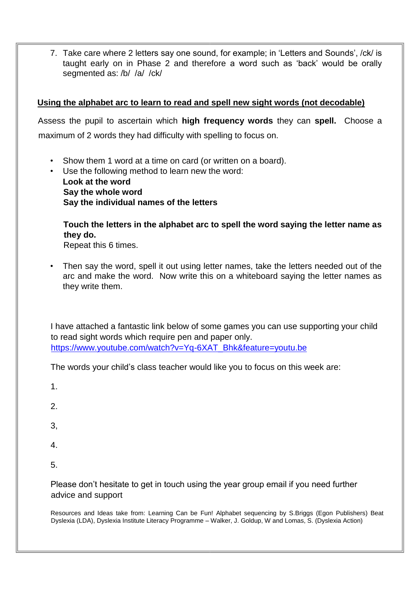7. Take care where 2 letters say one sound, for example; in 'Letters and Sounds', /ck/ is taught early on in Phase 2 and therefore a word such as 'back' would be orally segmented as: /b/ /a/ /ck/

## **Using the alphabet arc to learn to read and spell new sight words (not decodable)**

Assess the pupil to ascertain which **high frequency words** they can **spell.** Choose a maximum of 2 words they had difficulty with spelling to focus on.

- Show them 1 word at a time on card (or written on a board).
- Use the following method to learn new the word: **Look at the word Say the whole word Say the individual names of the letters**

**Touch the letters in the alphabet arc to spell the word saying the letter name as they do.** 

Repeat this 6 times.

• Then say the word, spell it out using letter names, take the letters needed out of the arc and make the word. Now write this on a whiteboard saying the letter names as they write them.

I have attached a fantastic link below of some games you can use supporting your child to read sight words which require pen and paper only. [https://www.youtube.com/watch?v=Yq-6XAT\\_Bhk&feature=youtu.be](https://www.youtube.com/watch?v=Yq-6XAT_Bhk&feature=youtu.be)

The words your child's class teacher would like you to focus on this week are:

1.

2.

3,

4.

5.

Please don't hesitate to get in touch using the year group email if you need further advice and support

Resources and Ideas take from: Learning Can be Fun! Alphabet sequencing by S.Briggs (Egon Publishers) Beat Dyslexia (LDA), Dyslexia Institute Literacy Programme – Walker, J. Goldup, W and Lomas, S. (Dyslexia Action)